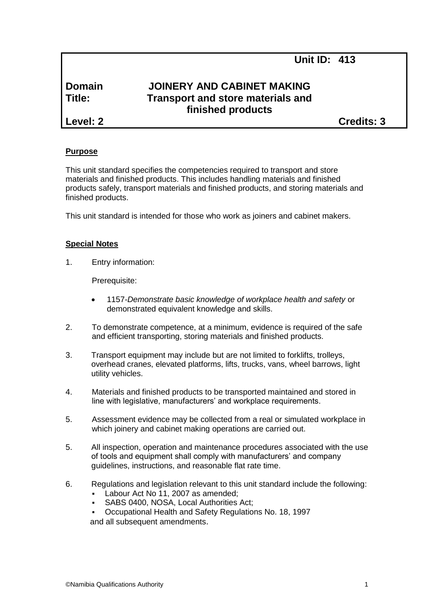# **Domain JOINERY AND CABINET MAKING Title: Transport and store materials and finished products**

**Level: 2 Credits: 3**

# **Purpose**

This unit standard specifies the competencies required to transport and store materials and finished products. This includes handling materials and finished products safely, transport materials and finished products, and storing materials and finished products.

This unit standard is intended for those who work as joiners and cabinet makers.

#### **Special Notes**

1. Entry information:

Prerequisite:

- 1157*-Demonstrate basic knowledge of workplace health and safety* or demonstrated equivalent knowledge and skills.
- 2. To demonstrate competence, at a minimum, evidence is required of the safe and efficient transporting, storing materials and finished products.
- 3. Transport equipment may include but are not limited to forklifts, trolleys, overhead cranes, elevated platforms, lifts, trucks, vans, wheel barrows, light utility vehicles.
- 4. Materials and finished products to be transported maintained and stored in line with legislative, manufacturers' and workplace requirements.
- 5. Assessment evidence may be collected from a real or simulated workplace in which joinery and cabinet making operations are carried out.
- 5. All inspection, operation and maintenance procedures associated with the use of tools and equipment shall comply with manufacturers' and company guidelines, instructions, and reasonable flat rate time.
- 6. Regulations and legislation relevant to this unit standard include the following:
	- Labour Act No 11, 2007 as amended;
	- SABS 0400, NOSA, Local Authorities Act;
	- Occupational Health and Safety Regulations No. 18, 1997
	- and all subsequent amendments.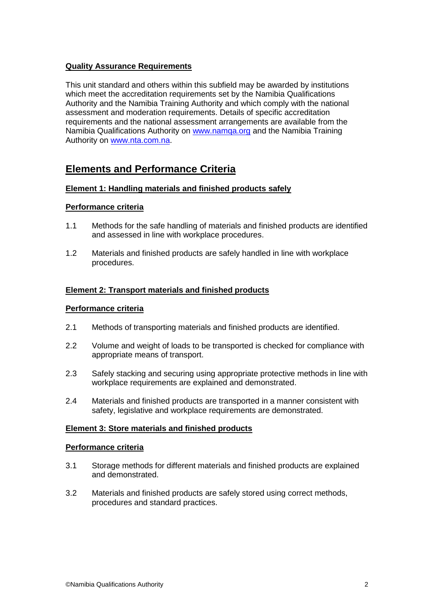# **Quality Assurance Requirements**

This unit standard and others within this subfield may be awarded by institutions which meet the accreditation requirements set by the Namibia Qualifications Authority and the Namibia Training Authority and which comply with the national assessment and moderation requirements. Details of specific accreditation requirements and the national assessment arrangements are available from the Namibia Qualifications Authority on [www.namqa.org](http://www.namqa.org/) and the Namibia Training Authority on [www.nta.com.na.](http://www.nta.com.na/)

# **Elements and Performance Criteria**

## **Element 1: Handling materials and finished products safely**

#### **Performance criteria**

- 1.1 Methods for the safe handling of materials and finished products are identified and assessed in line with workplace procedures.
- 1.2 Materials and finished products are safely handled in line with workplace procedures.

## **Element 2: Transport materials and finished products**

#### **Performance criteria**

- 2.1 Methods of transporting materials and finished products are identified.
- 2.2 Volume and weight of loads to be transported is checked for compliance with appropriate means of transport.
- 2.3 Safely stacking and securing using appropriate protective methods in line with workplace requirements are explained and demonstrated.
- 2.4 Materials and finished products are transported in a manner consistent with safety, legislative and workplace requirements are demonstrated.

#### **Element 3: Store materials and finished products**

#### **Performance criteria**

- 3.1 Storage methods for different materials and finished products are explained and demonstrated.
- 3.2 Materials and finished products are safely stored using correct methods, procedures and standard practices.